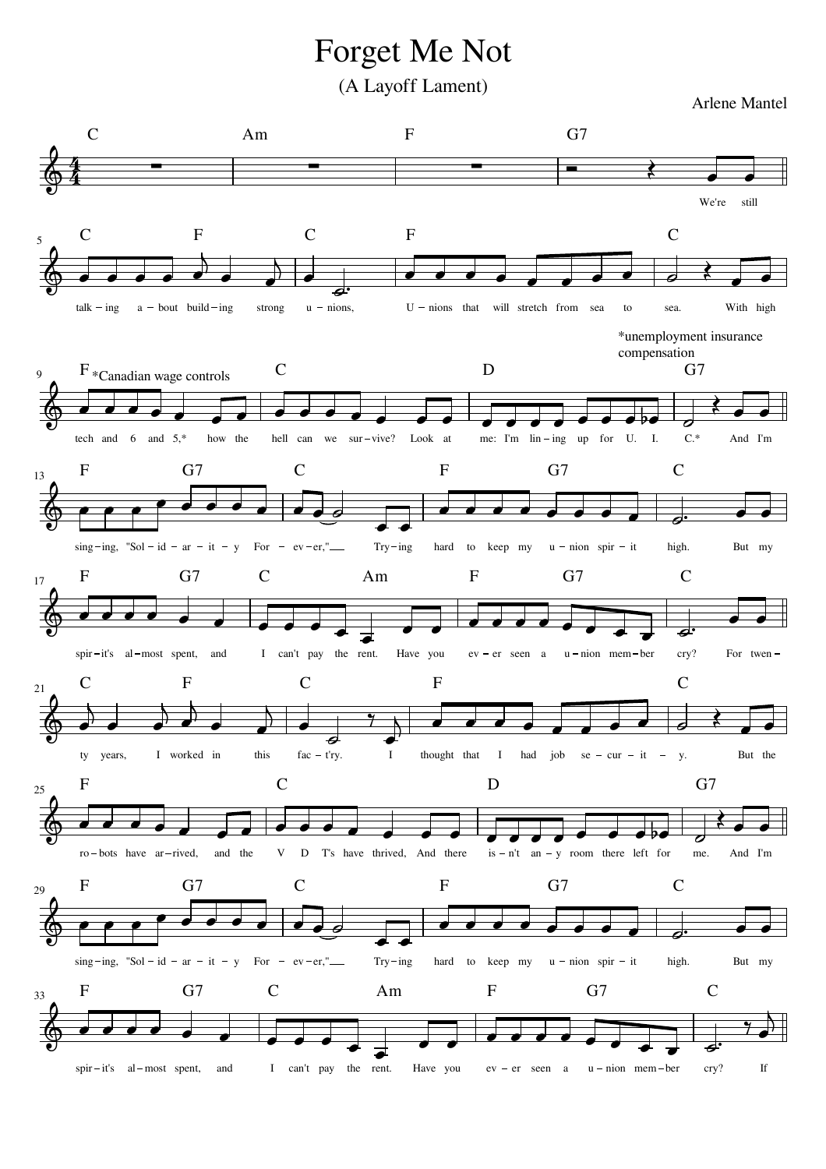### Forget Me Not

(A Layoff Lament)

Arlene Mantel

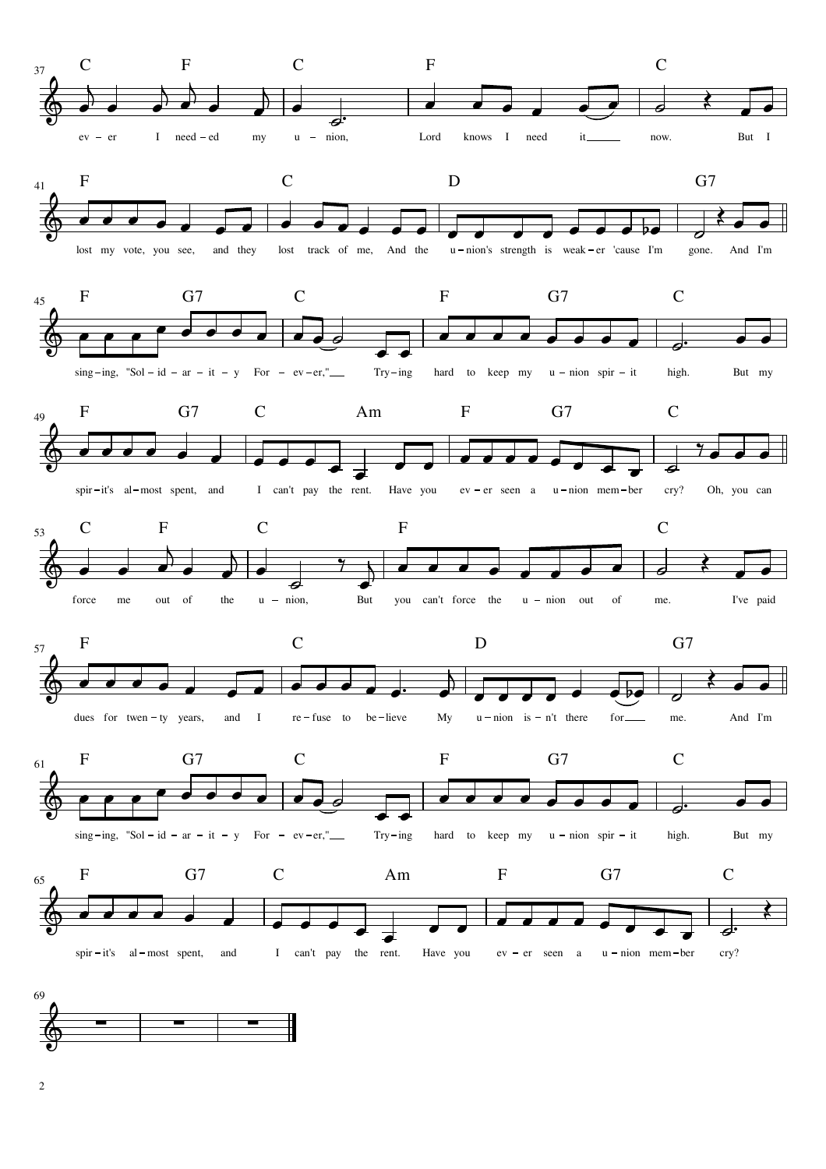

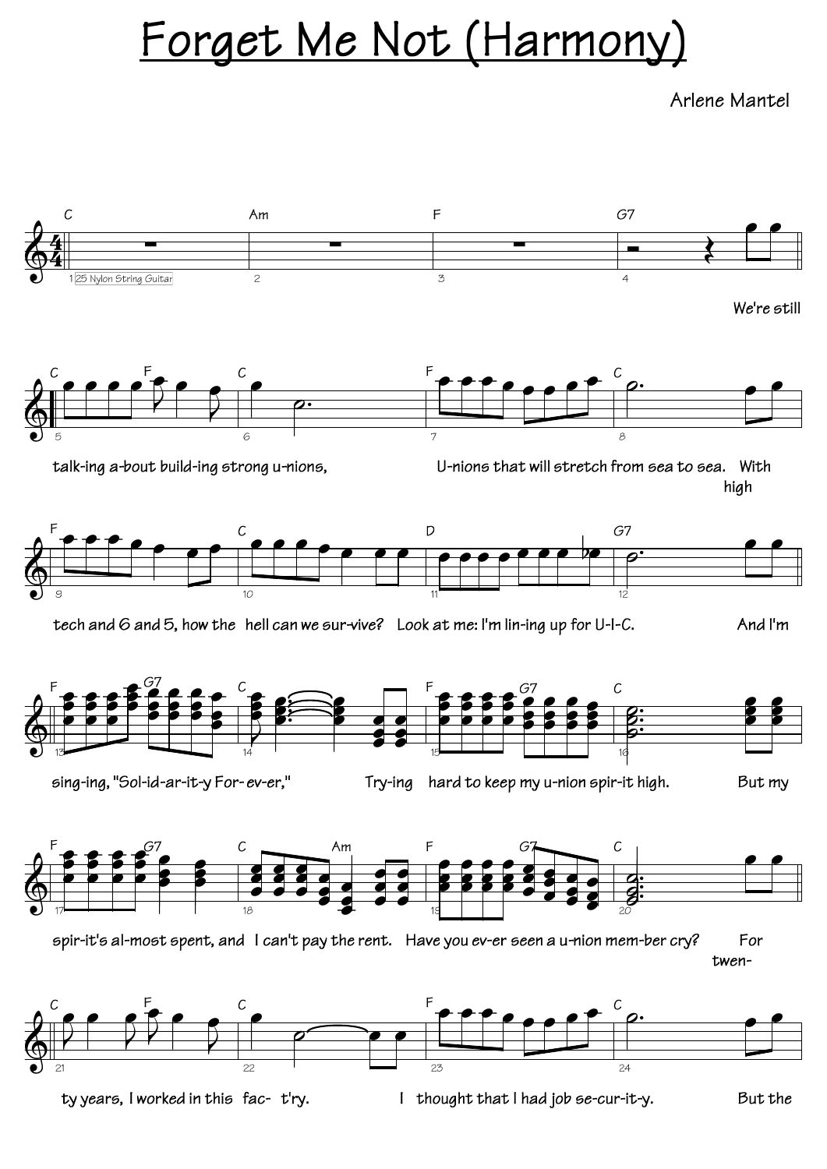## Forget Me Not (Harmony)

Arlene Mantel



ty years, I worked in this fac-t'ry.

I thought that I had job se-cur-it-y.

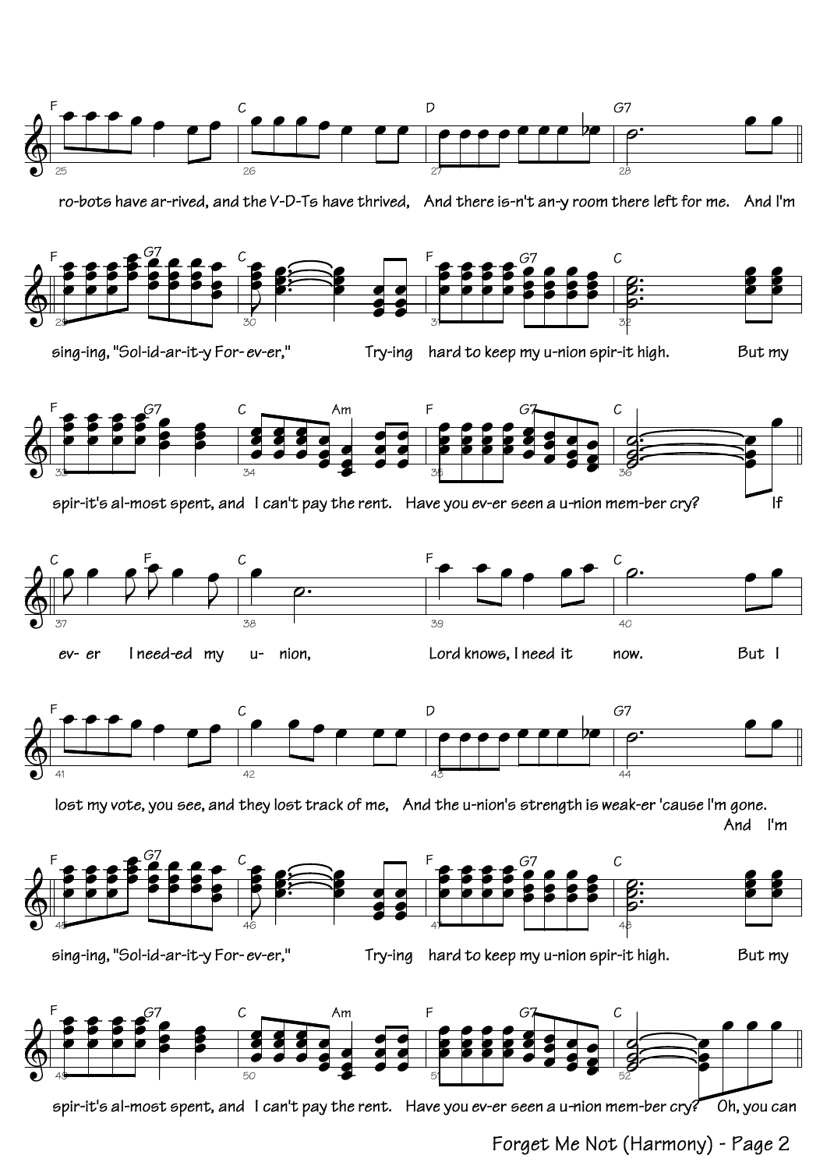

ro-bots have ar-rived, and the V-D-Ts have thrived, And there is-n't an-y room there left for me. And I'm





spir-it's al-most spent, and I can't pay the rent. Have you ev-er seen a u-nion mem-ber cry? Oh, you can

#### Forget Me Not (Harmony) - Page 2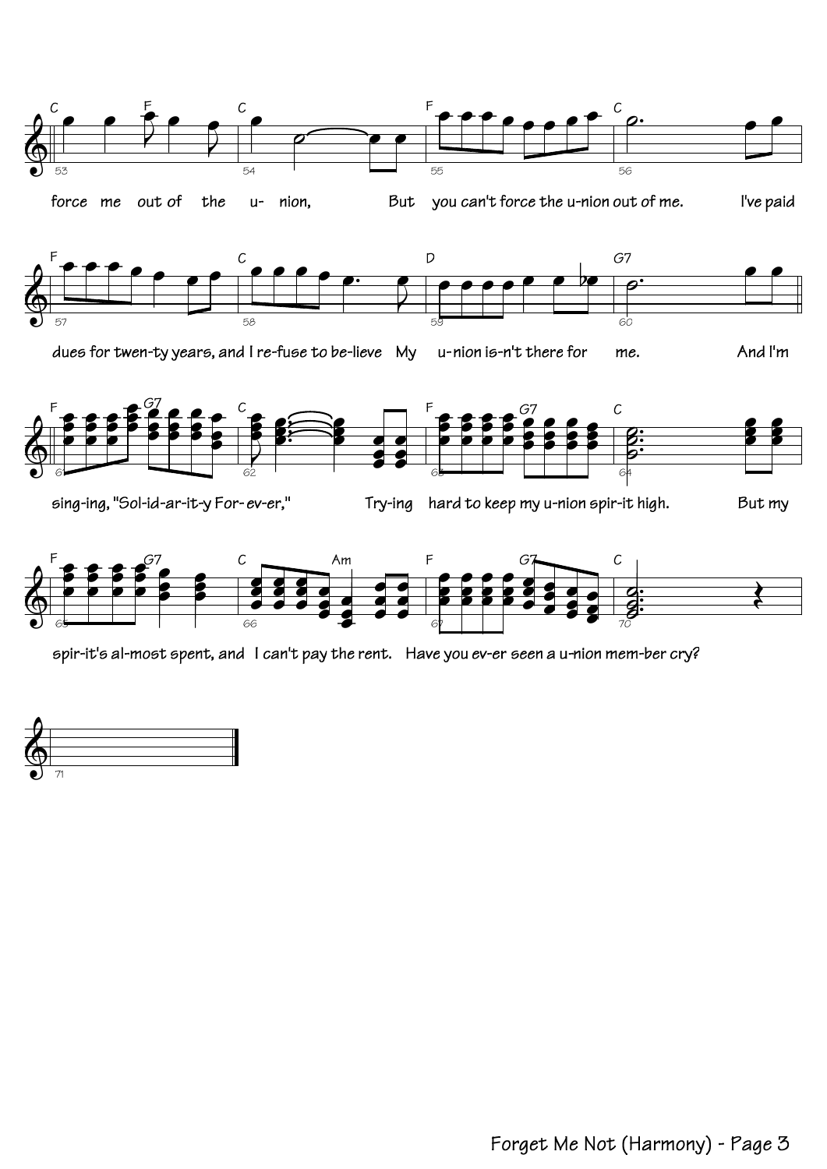

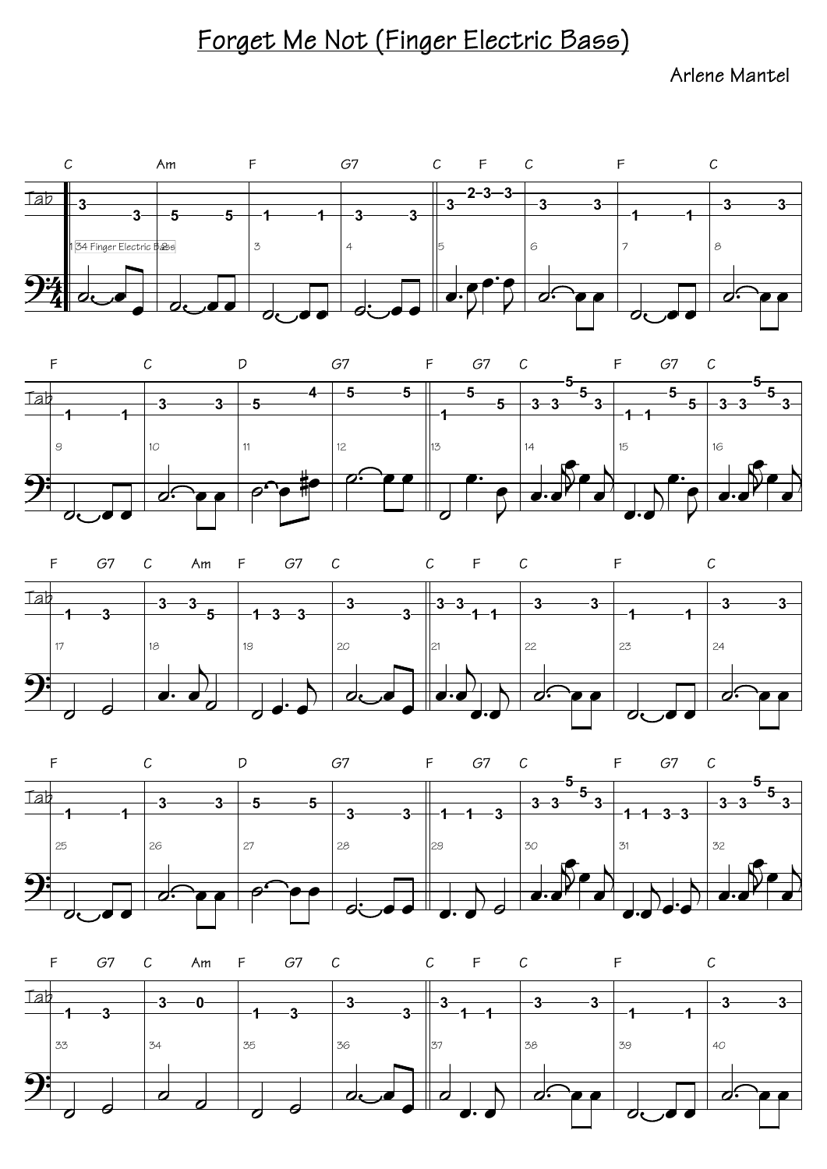#### Forget Me Not (Finger Electric Bass)

Arlene Mantel









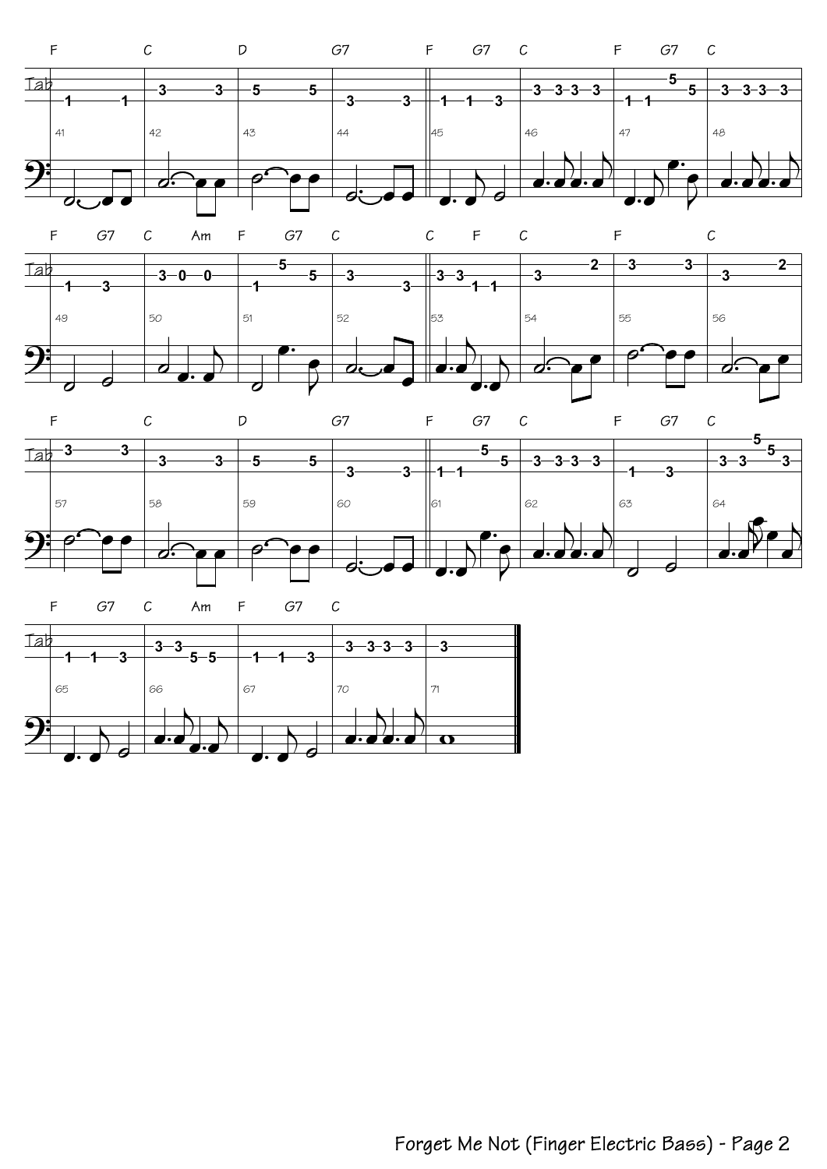





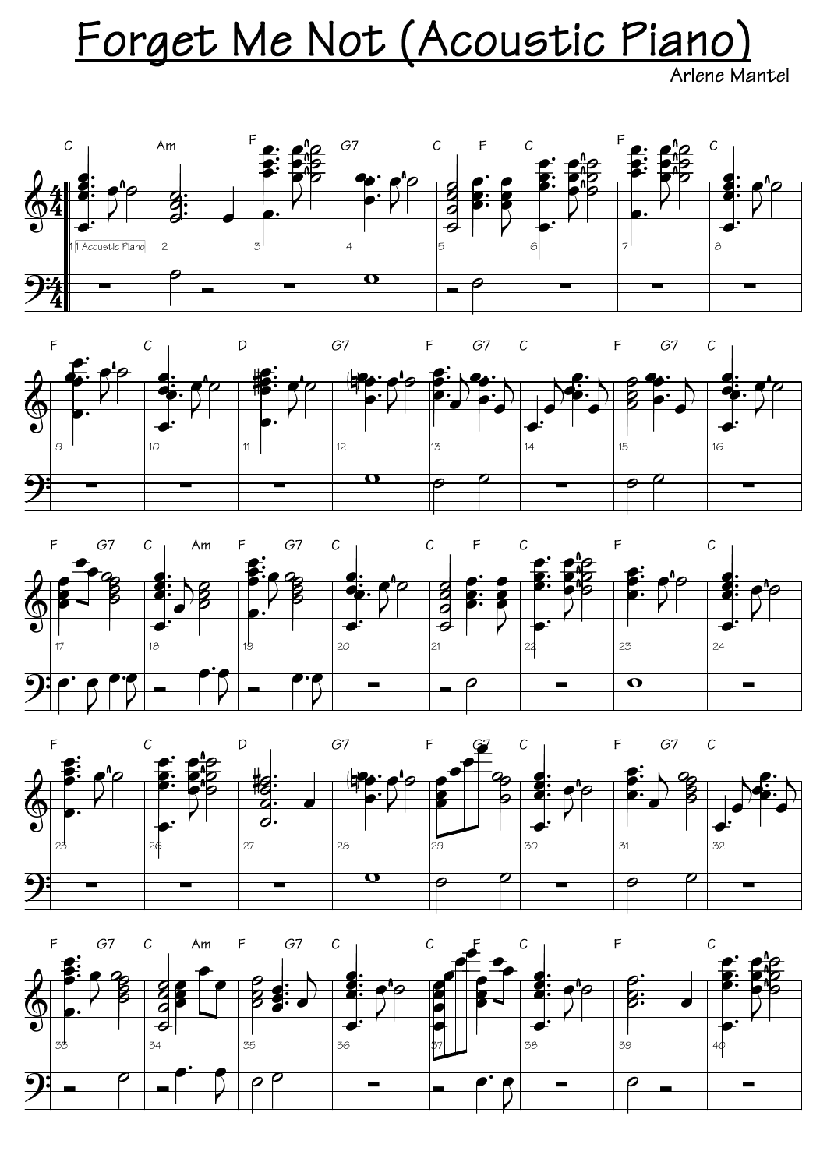### Forget Me Not (Acoustic Piano)

Arlene Mantel









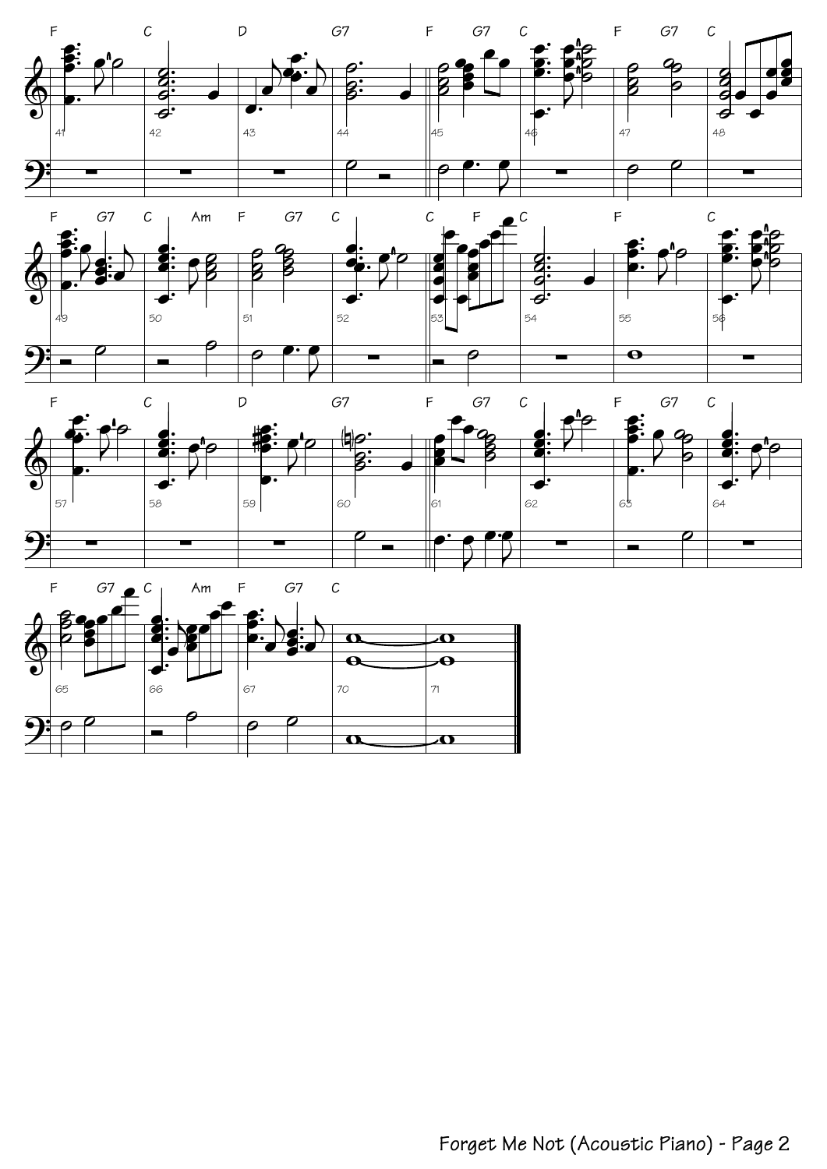





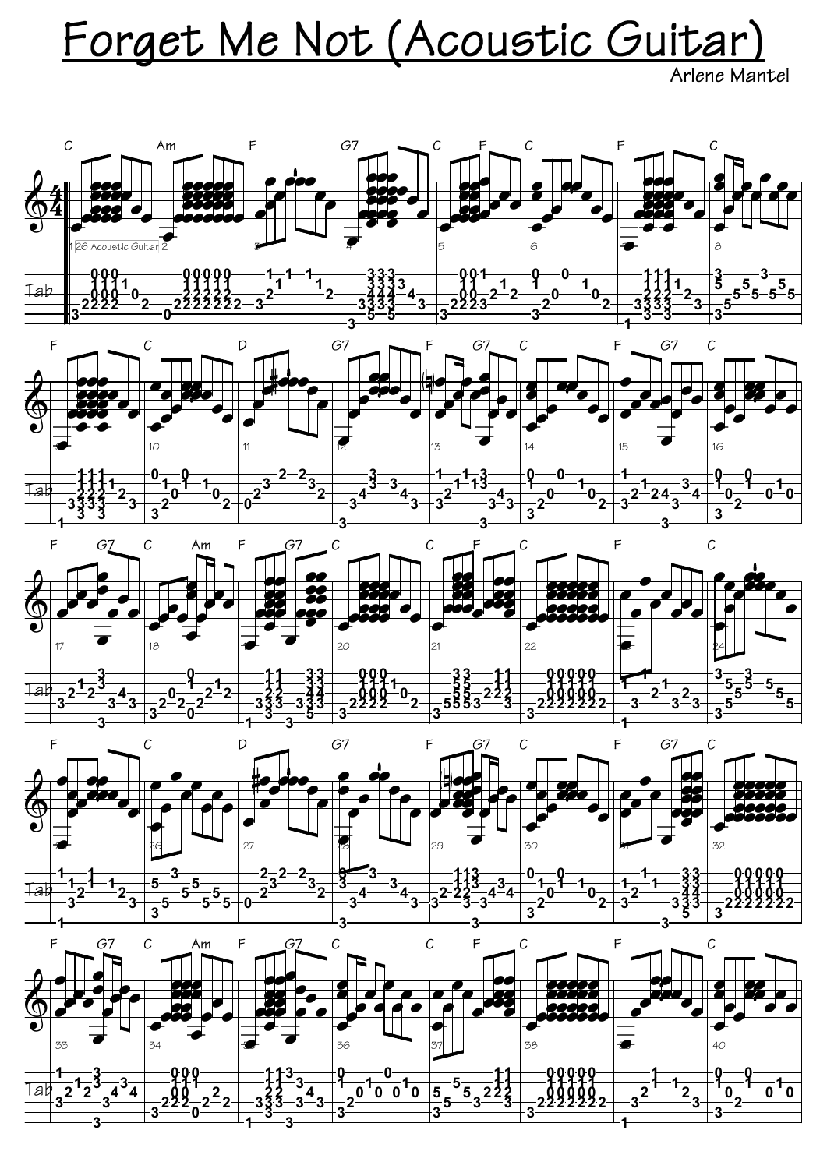# <u>Forget Me Not (Acoustic Guitar)</u>

Arlene Mantel

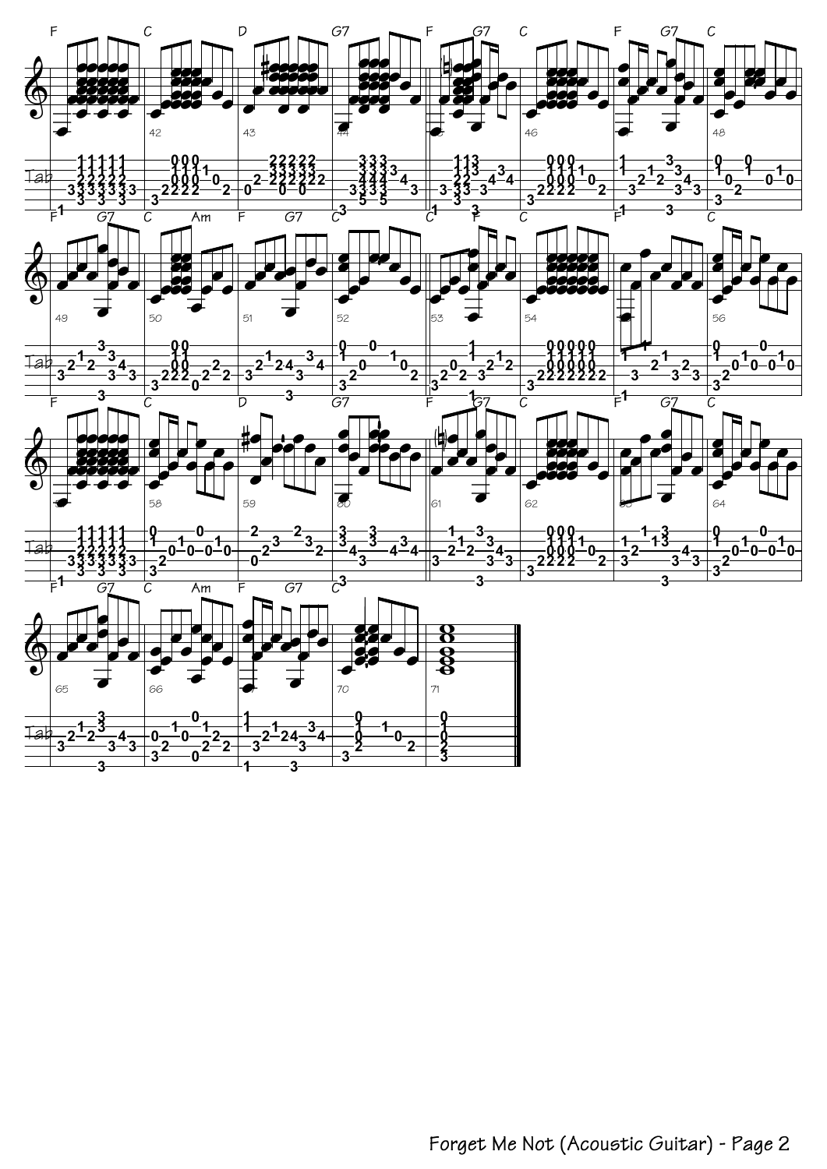